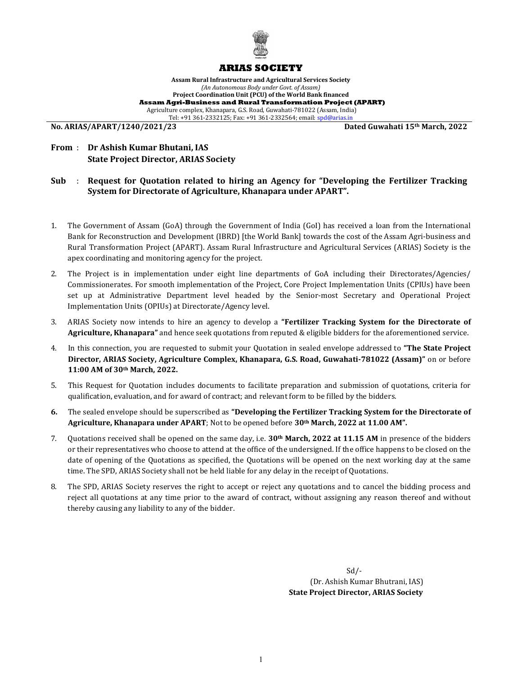

### ARIAS SOCIETY

Assam Rural Infrastructure and Agricultural Services Society (An Autonomous Body under Govt. of Assam) Project Coordination Unit (PCU) of the World Bank financed Assam Agri-Business and Rural Transformation Project (APART) Agriculture complex, Khanapara, G.S. Road, Guwahati-781022 (Assam, India) Tel: +91 361-2332125; Fax: +91 361-2332564; email: spd@arias.in<br>No. ARIAS/APART/1240/2021/23

Dated Guwahati 15<sup>th</sup> March, 2022

# From : Dr Ashish Kumar Bhutani, IAS State Project Director, ARIAS Society

### Sub : Request for Quotation related to hiring an Agency for "Developing the Fertilizer Tracking System for Directorate of Agriculture, Khanapara under APART".

- 1. The Government of Assam (GoA) through the Government of India (GoI) has received a loan from the International Bank for Reconstruction and Development (IBRD) [the World Bank] towards the cost of the Assam Agri-business and Rural Transformation Project (APART). Assam Rural Infrastructure and Agricultural Services (ARIAS) Society is the apex coordinating and monitoring agency for the project.
- 2. The Project is in implementation under eight line departments of GoA including their Directorates/Agencies/ Commissionerates. For smooth implementation of the Project, Core Project Implementation Units (CPIUs) have been set up at Administrative Department level headed by the Senior-most Secretary and Operational Project Implementation Units (OPIUs) at Directorate/Agency level.
- 3. ARIAS Society now intends to hire an agency to develop a "Fertilizer Tracking System for the Directorate of Agriculture, Khanapara" and hence seek quotations from reputed & eligible bidders for the aforementioned service.
- 4. In this connection, you are requested to submit your Quotation in sealed envelope addressed to "The State Project Director, ARIAS Society, Agriculture Complex, Khanapara, G.S. Road, Guwahati-781022 (Assam)" on or before 11:00 AM of 30th March, 2022.
- 5. This Request for Quotation includes documents to facilitate preparation and submission of quotations, criteria for qualification, evaluation, and for award of contract; and relevant form to be filled by the bidders.
- 6. The sealed envelope should be superscribed as "Developing the Fertilizer Tracking System for the Directorate of Agriculture, Khanapara under APART; Not to be opened before 30<sup>th</sup> March, 2022 at 11.00 AM".
- 7. Quotations received shall be opened on the same day, i.e.  $30<sup>th</sup>$  March, 2022 at 11.15 AM in presence of the bidders or their representatives who choose to attend at the office of the undersigned. If the office happens to be closed on the date of opening of the Quotations as specified, the Quotations will be opened on the next working day at the same time. The SPD, ARIAS Society shall not be held liable for any delay in the receipt of Quotations.
- 8. The SPD, ARIAS Society reserves the right to accept or reject any quotations and to cancel the bidding process and reject all quotations at any time prior to the award of contract, without assigning any reason thereof and without thereby causing any liability to any of the bidder.

 $Sd$  (Dr. Ashish Kumar Bhutrani, IAS) State Project Director, ARIAS Society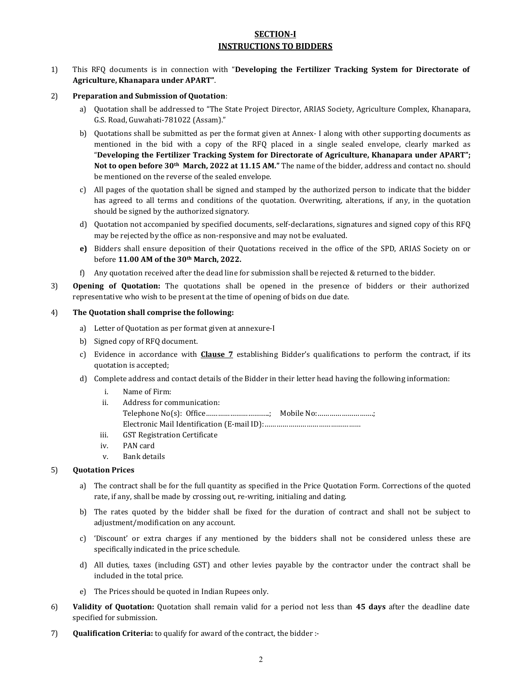## SECTION-I INSTRUCTIONS TO BIDDERS

- 1) This RFQ documents is in connection with "Developing the Fertilizer Tracking System for Directorate of Agriculture, Khanapara under APART".
- 2) Preparation and Submission of Quotation:
	- a) Quotation shall be addressed to "The State Project Director, ARIAS Society, Agriculture Complex, Khanapara, G.S. Road, Guwahati-781022 (Assam)."
	- b) Quotations shall be submitted as per the format given at Annex- I along with other supporting documents as mentioned in the bid with a copy of the RFQ placed in a single sealed envelope, clearly marked as "Developing the Fertilizer Tracking System for Directorate of Agriculture, Khanapara under APART"; Not to open before 30th March, 2022 at 11.15 AM." The name of the bidder, address and contact no. should be mentioned on the reverse of the sealed envelope.
	- c) All pages of the quotation shall be signed and stamped by the authorized person to indicate that the bidder has agreed to all terms and conditions of the quotation. Overwriting, alterations, if any, in the quotation should be signed by the authorized signatory.
	- d) Quotation not accompanied by specified documents, self-declarations, signatures and signed copy of this RFQ may be rejected by the office as non-responsive and may not be evaluated.
	- e) Bidders shall ensure deposition of their Quotations received in the office of the SPD, ARIAS Society on or before 11.00 AM of the 30th March, 2022.
	- f) Any quotation received after the dead line for submission shall be rejected & returned to the bidder.
- 3) Opening of Quotation: The quotations shall be opened in the presence of bidders or their authorized representative who wish to be present at the time of opening of bids on due date.

#### 4) The Quotation shall comprise the following:

- a) Letter of Quotation as per format given at annexure-I
- b) Signed copy of RFQ document.
- c) Evidence in accordance with **Clause 7** establishing Bidder's qualifications to perform the contract, if its quotation is accepted;
- d) Complete address and contact details of the Bidder in their letter head having the following information:
	- i. Name of Firm: ii. Address for communication: Telephone No(s): Office…………………………..; Mobile No:……………………….; Electronic Mail Identification (E-mail ID):…………………………………………
	- iii. GST Registration Certificate
	- iv. PAN card
	- v. Bank details

#### 5) Quotation Prices

- a) The contract shall be for the full quantity as specified in the Price Quotation Form. Corrections of the quoted rate, if any, shall be made by crossing out, re-writing, initialing and dating.
- b) The rates quoted by the bidder shall be fixed for the duration of contract and shall not be subject to adjustment/modification on any account.
- c) 'Discount' or extra charges if any mentioned by the bidders shall not be considered unless these are specifically indicated in the price schedule.
- d) All duties, taxes (including GST) and other levies payable by the contractor under the contract shall be included in the total price.
- e) The Prices should be quoted in Indian Rupees only.
- 6) Validity of Quotation: Quotation shall remain valid for a period not less than 45 days after the deadline date specified for submission.
- 7) Qualification Criteria: to qualify for award of the contract, the bidder :-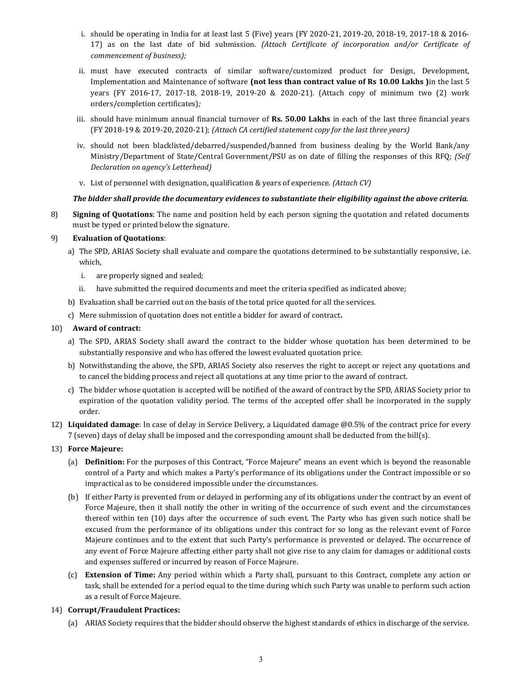- i. should be operating in India for at least last 5 (Five) years (FY 2020-21, 2019-20, 2018-19, 2017-18 & 2016- 17) as on the last date of bid submission. (Attach Certificate of incorporation and/or Certificate of commencement of business);
- ii. must have executed contracts of similar software/customized product for Design, Development, Implementation and Maintenance of software (not less than contract value of Rs 10.00 Lakhs )in the last 5 years (FY 2016-17, 2017-18, 2018-19, 2019-20 & 2020-21). (Attach copy of minimum two (2) work orders/completion certificates);
- iii. should have minimum annual financial turnover of Rs. 50.00 Lakhs in each of the last three financial years (FY 2018-19 & 2019-20, 2020-21); (Attach CA certified statement copy for the last three years)
- iv. should not been blacklisted/debarred/suspended/banned from business dealing by the World Bank/any Ministry/Department of State/Central Government/PSU as on date of filling the responses of this RFQ; (Self Declaration on agency's Letterhead)
- v. List of personnel with designation, qualification & years of experience. (Attach CV)

#### The bidder shall provide the documentary evidences to substantiate their eligibility against the above criteria.

8) Signing of Quotations: The name and position held by each person signing the quotation and related documents must be typed or printed below the signature.

### 9) Evaluation of Quotations:

- a) The SPD, ARIAS Society shall evaluate and compare the quotations determined to be substantially responsive, i.e. which,
	- i. are properly signed and sealed;
	- ii. have submitted the required documents and meet the criteria specified as indicated above;
- b) Evaluation shall be carried out on the basis of the total price quoted for all the services.
- c) Mere submission of quotation does not entitle a bidder for award of contract.

#### 10) Award of contract:

- a) The SPD, ARIAS Society shall award the contract to the bidder whose quotation has been determined to be substantially responsive and who has offered the lowest evaluated quotation price.
- b) Notwithstanding the above, the SPD, ARIAS Society also reserves the right to accept or reject any quotations and to cancel the bidding process and reject all quotations at any time prior to the award of contract.
- c) The bidder whose quotation is accepted will be notified of the award of contract by the SPD, ARIAS Society prior to expiration of the quotation validity period. The terms of the accepted offer shall be incorporated in the supply order.
- 12) Liquidated damage: In case of delay in Service Delivery, a Liquidated damage @0.5% of the contract price for every 7 (seven) days of delay shall be imposed and the corresponding amount shall be deducted from the bill(s).
- 13) Force Majeure:
	- (a) Definition: For the purposes of this Contract, "Force Majeure" means an event which is beyond the reasonable control of a Party and which makes a Party's performance of its obligations under the Contract impossible or so impractical as to be considered impossible under the circumstances.
	- (b) If either Party is prevented from or delayed in performing any of its obligations under the contract by an event of Force Majeure, then it shall notify the other in writing of the occurrence of such event and the circumstances thereof within ten (10) days after the occurrence of such event. The Party who has given such notice shall be excused from the performance of its obligations under this contract for so long as the relevant event of Force Majeure continues and to the extent that such Party's performance is prevented or delayed. The occurrence of any event of Force Majeure affecting either party shall not give rise to any claim for damages or additional costs and expenses suffered or incurred by reason of Force Majeure.
	- (c) Extension of Time: Any period within which a Party shall, pursuant to this Contract, complete any action or task, shall be extended for a period equal to the time during which such Party was unable to perform such action as a result of Force Majeure.

#### 14) Corrupt/Fraudulent Practices:

(a) ARIAS Society requires that the bidder should observe the highest standards of ethics in discharge of the service.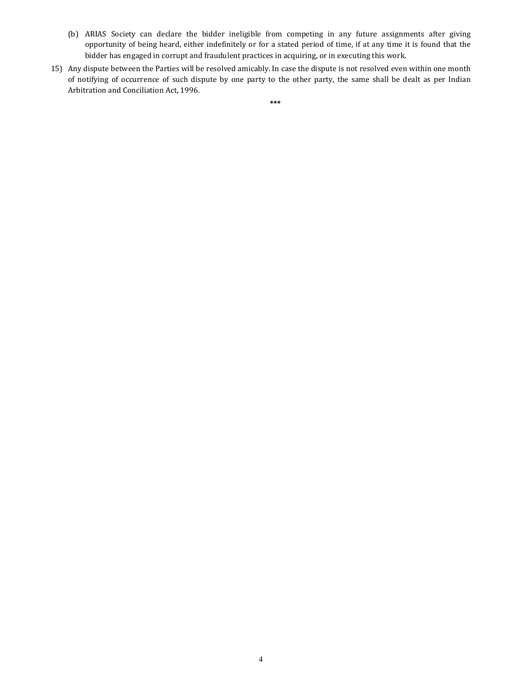- (b) ARIAS Society can declare the bidder ineligible from competing in any future assignments after giving opportunity of being heard, either indefinitely or for a stated period of time, if at any time it is found that the bidder has engaged in corrupt and fraudulent practices in acquiring, or in executing this work.
- 15) Any dispute between the Parties will be resolved amicably. In case the dispute is not resolved even within one month of notifying of occurrence of such dispute by one party to the other party, the same shall be dealt as per Indian Arbitration and Conciliation Act, 1996.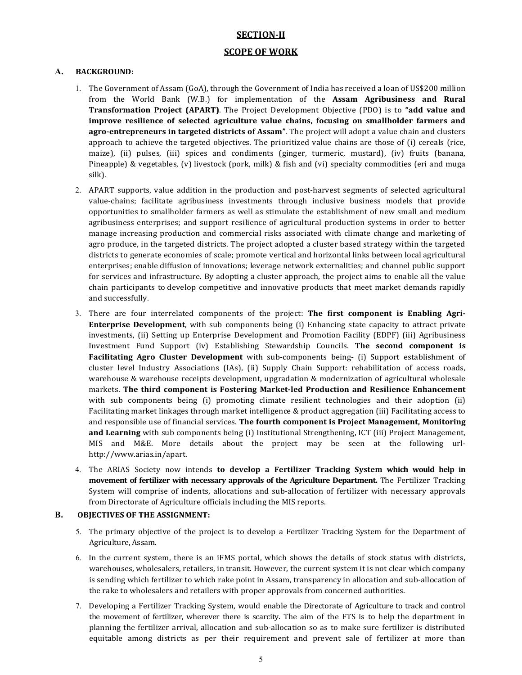# SECTION-II

# SCOPE OF WORK

## A. BACKGROUND:

- 1. The Government of Assam (GoA), through the Government of India has received a loan of US\$200 million from the World Bank (W.B.) for implementation of the Assam Agribusiness and Rural Transformation Project (APART). The Project Development Objective (PDO) is to "add value and improve resilience of selected agriculture value chains, focusing on smallholder farmers and agro-entrepreneurs in targeted districts of Assam". The project will adopt a value chain and clusters approach to achieve the targeted objectives. The prioritized value chains are those of (i) cereals (rice, maize), (ii) pulses, (iii) spices and condiments (ginger, turmeric, mustard), (iv) fruits (banana, Pineapple) & vegetables, (v) livestock (pork, milk) & fish and (vi) specialty commodities (eri and muga silk).
- 2. APART supports, value addition in the production and post-harvest segments of selected agricultural value-chains; facilitate agribusiness investments through inclusive business models that provide opportunities to smallholder farmers as well as stimulate the establishment of new small and medium agribusiness enterprises; and support resilience of agricultural production systems in order to better manage increasing production and commercial risks associated with climate change and marketing of agro produce, in the targeted districts. The project adopted a cluster based strategy within the targeted districts to generate economies of scale; promote vertical and horizontal links between local agricultural enterprises; enable diffusion of innovations; leverage network externalities; and channel public support for services and infrastructure. By adopting a cluster approach, the project aims to enable all the value chain participants to develop competitive and innovative products that meet market demands rapidly and successfully.
- 3. There are four interrelated components of the project: The first component is Enabling Agri-Enterprise Development, with sub components being (i) Enhancing state capacity to attract private investments, (ii) Setting up Enterprise Development and Promotion Facility (EDPF) (iii) Agribusiness Investment Fund Support (iv) Establishing Stewardship Councils. The second component is Facilitating Agro Cluster Development with sub-components being- (i) Support establishment of cluster level Industry Associations (IAs), (ii) Supply Chain Support: rehabilitation of access roads, warehouse & warehouse receipts development, upgradation & modernization of agricultural wholesale markets. The third component is Fostering Market-led Production and Resilience Enhancement with sub components being (i) promoting climate resilient technologies and their adoption (ii) Facilitating market linkages through market intelligence & product aggregation (iii) Facilitating access to and responsible use of financial services. The fourth component is Project Management, Monitoring and Learning with sub components being (i) Institutional Strengthening, ICT (iii) Project Management, MIS and M&E. More details about the project may be seen at the following urlhttp://www.arias.in/apart.
- 4. The ARIAS Society now intends to develop a Fertilizer Tracking System which would help in movement of fertilizer with necessary approvals of the Agriculture Department. The Fertilizer Tracking System will comprise of indents, allocations and sub-allocation of fertilizer with necessary approvals from Directorate of Agriculture officials including the MIS reports.

### B. OBJECTIVES OF THE ASSIGNMENT:

- 5. The primary objective of the project is to develop a Fertilizer Tracking System for the Department of Agriculture, Assam.
- 6. In the current system, there is an iFMS portal, which shows the details of stock status with districts, warehouses, wholesalers, retailers, in transit. However, the current system it is not clear which company is sending which fertilizer to which rake point in Assam, transparency in allocation and sub-allocation of the rake to wholesalers and retailers with proper approvals from concerned authorities.
- 7. Developing a Fertilizer Tracking System, would enable the Directorate of Agriculture to track and control the movement of fertilizer, wherever there is scarcity. The aim of the FTS is to help the department in planning the fertilizer arrival, allocation and sub-allocation so as to make sure fertilizer is distributed equitable among districts as per their requirement and prevent sale of fertilizer at more than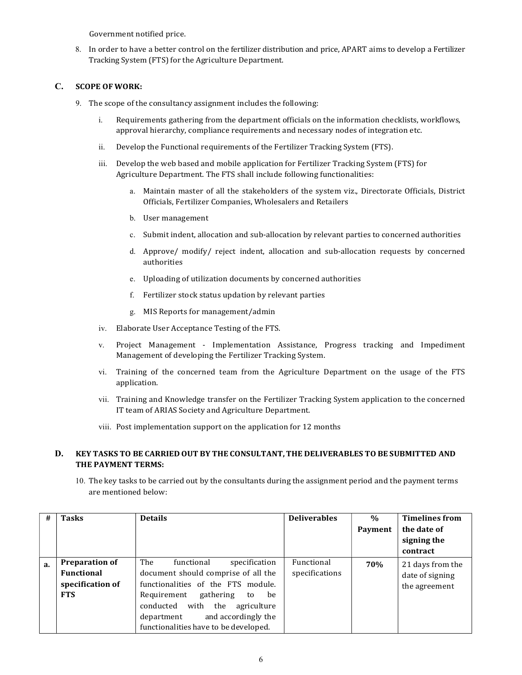Government notified price.

8. In order to have a better control on the fertilizer distribution and price, APART aims to develop a Fertilizer Tracking System (FTS) for the Agriculture Department.

## C. SCOPE OF WORK:

- 9. The scope of the consultancy assignment includes the following:
	- i. Requirements gathering from the department officials on the information checklists, workflows, approval hierarchy, compliance requirements and necessary nodes of integration etc.
	- ii. Develop the Functional requirements of the Fertilizer Tracking System (FTS).
	- iii. Develop the web based and mobile application for Fertilizer Tracking System (FTS) for Agriculture Department. The FTS shall include following functionalities:
		- a. Maintain master of all the stakeholders of the system viz., Directorate Officials, District Officials, Fertilizer Companies, Wholesalers and Retailers
		- b. User management
		- c. Submit indent, allocation and sub-allocation by relevant parties to concerned authorities
		- d. Approve/ modify/ reject indent, allocation and sub-allocation requests by concerned authorities
		- e. Uploading of utilization documents by concerned authorities
		- f. Fertilizer stock status updation by relevant parties
		- g. MIS Reports for management/admin
	- iv. Elaborate User Acceptance Testing of the FTS.
	- v. Project Management Implementation Assistance, Progress tracking and Impediment Management of developing the Fertilizer Tracking System.
	- vi. Training of the concerned team from the Agriculture Department on the usage of the FTS application.
	- vii. Training and Knowledge transfer on the Fertilizer Tracking System application to the concerned IT team of ARIAS Society and Agriculture Department.
	- viii. Post implementation support on the application for 12 months

## D. KEY TASKS TO BE CARRIED OUT BY THE CONSULTANT, THE DELIVERABLES TO BE SUBMITTED AND THE PAYMENT TERMS:

10. The key tasks to be carried out by the consultants during the assignment period and the payment terms are mentioned below:

| #  | <b>Tasks</b>          | <b>Details</b>                          | <b>Deliverables</b> | $\frac{0}{0}$ | <b>Timelines from</b> |
|----|-----------------------|-----------------------------------------|---------------------|---------------|-----------------------|
|    |                       |                                         |                     | Payment       | the date of           |
|    |                       |                                         |                     |               | signing the           |
|    |                       |                                         |                     |               | contract              |
| a. | <b>Preparation of</b> | The<br>specification<br>functional      | Functional          | 70%           | 21 days from the      |
|    | Functional            | document should comprise of all the     | specifications      |               | date of signing       |
|    | specification of      | functionalities of the FTS module.      |                     |               | the agreement         |
|    | <b>FTS</b>            | gathering<br>Requirement<br>be<br>to    |                     |               |                       |
|    |                       | the<br>conducted<br>with<br>agriculture |                     |               |                       |
|    |                       | and accordingly the<br>department       |                     |               |                       |
|    |                       | functionalities have to be developed.   |                     |               |                       |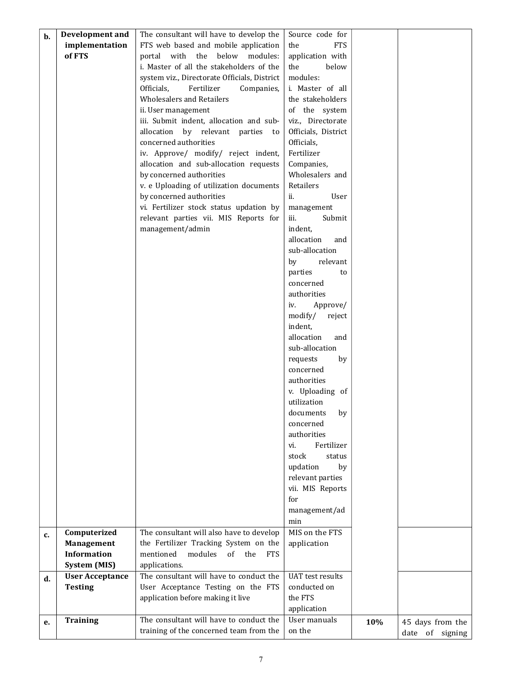| b. | Development and                  | The consultant will have to develop the                                               | Source code for              |     |                  |  |
|----|----------------------------------|---------------------------------------------------------------------------------------|------------------------------|-----|------------------|--|
|    | implementation                   | FTS web based and mobile application                                                  | <b>FTS</b><br>the            |     |                  |  |
|    | of FTS                           | portal with the below modules:                                                        | application with             |     |                  |  |
|    |                                  | i. Master of all the stakeholders of the                                              | below<br>the                 |     |                  |  |
|    |                                  | system viz., Directorate Officials, District                                          | modules:                     |     |                  |  |
|    |                                  | Officials,<br>Fertilizer<br>Companies,                                                | i. Master of all             |     |                  |  |
|    |                                  | <b>Wholesalers and Retailers</b>                                                      | the stakeholders             |     |                  |  |
|    |                                  | ii. User management                                                                   | of the system                |     |                  |  |
|    |                                  | iii. Submit indent, allocation and sub-                                               | viz., Directorate            |     |                  |  |
|    |                                  | allocation by relevant parties to                                                     | Officials, District          |     |                  |  |
|    |                                  | concerned authorities                                                                 | Officials,                   |     |                  |  |
|    |                                  | iv. Approve/ modify/ reject indent,                                                   | Fertilizer                   |     |                  |  |
|    |                                  | allocation and sub-allocation requests                                                | Companies,                   |     |                  |  |
|    |                                  | by concerned authorities                                                              | Wholesalers and              |     |                  |  |
|    |                                  | v. e Uploading of utilization documents                                               | Retailers                    |     |                  |  |
|    |                                  | by concerned authorities                                                              | ii.<br>User                  |     |                  |  |
|    |                                  | vi. Fertilizer stock status updation by                                               |                              |     |                  |  |
|    |                                  |                                                                                       | management<br>iii.<br>Submit |     |                  |  |
|    |                                  | relevant parties vii. MIS Reports for                                                 | indent,                      |     |                  |  |
|    |                                  | management/admin                                                                      | allocation                   |     |                  |  |
|    |                                  |                                                                                       | and<br>sub-allocation        |     |                  |  |
|    |                                  |                                                                                       |                              |     |                  |  |
|    |                                  |                                                                                       | relevant<br>by               |     |                  |  |
|    |                                  |                                                                                       | parties<br>to                |     |                  |  |
|    |                                  |                                                                                       | concerned                    |     |                  |  |
|    |                                  |                                                                                       | authorities                  |     |                  |  |
|    |                                  |                                                                                       | Approve/<br>iv.              |     |                  |  |
|    |                                  |                                                                                       | modify/<br>reject            |     |                  |  |
|    |                                  |                                                                                       | indent,                      |     |                  |  |
|    |                                  |                                                                                       | allocation<br>and            |     |                  |  |
|    |                                  |                                                                                       | sub-allocation               |     |                  |  |
|    |                                  |                                                                                       | requests<br>by               |     |                  |  |
|    |                                  |                                                                                       | concerned                    |     |                  |  |
|    |                                  |                                                                                       | authorities                  |     |                  |  |
|    |                                  |                                                                                       | v. Uploading of              |     |                  |  |
|    |                                  |                                                                                       | utilization                  |     |                  |  |
|    |                                  |                                                                                       | $\,$ documents<br>by         |     |                  |  |
|    |                                  |                                                                                       | concerned                    |     |                  |  |
|    |                                  |                                                                                       | authorities                  |     |                  |  |
|    |                                  |                                                                                       | Fertilizer<br>vi.            |     |                  |  |
|    |                                  |                                                                                       | stock<br>status              |     |                  |  |
|    |                                  |                                                                                       | updation<br>by               |     |                  |  |
|    |                                  |                                                                                       | relevant parties             |     |                  |  |
|    |                                  |                                                                                       | vii. MIS Reports             |     |                  |  |
|    |                                  |                                                                                       | for                          |     |                  |  |
|    |                                  |                                                                                       | management/ad                |     |                  |  |
|    |                                  | The consultant will also have to develop                                              | min<br>MIS on the FTS        |     |                  |  |
| c. | Computerized                     |                                                                                       |                              |     |                  |  |
|    | Management<br><b>Information</b> | the Fertilizer Tracking System on the<br>mentioned<br>modules<br>of the<br><b>FTS</b> | application                  |     |                  |  |
|    | System (MIS)                     | applications.                                                                         |                              |     |                  |  |
|    |                                  | The consultant will have to conduct the                                               | <b>UAT</b> test results      |     |                  |  |
| d. | <b>User Acceptance</b>           | User Acceptance Testing on the FTS                                                    | conducted on                 |     |                  |  |
|    | <b>Testing</b>                   |                                                                                       | the FTS                      |     |                  |  |
|    |                                  | application before making it live                                                     |                              |     |                  |  |
|    |                                  | The consultant will have to conduct the                                               | application<br>User manuals  |     |                  |  |
| е. | <b>Training</b>                  | training of the concerned team from the                                               | on the                       | 10% | 45 days from the |  |
|    |                                  |                                                                                       |                              |     | date of signing  |  |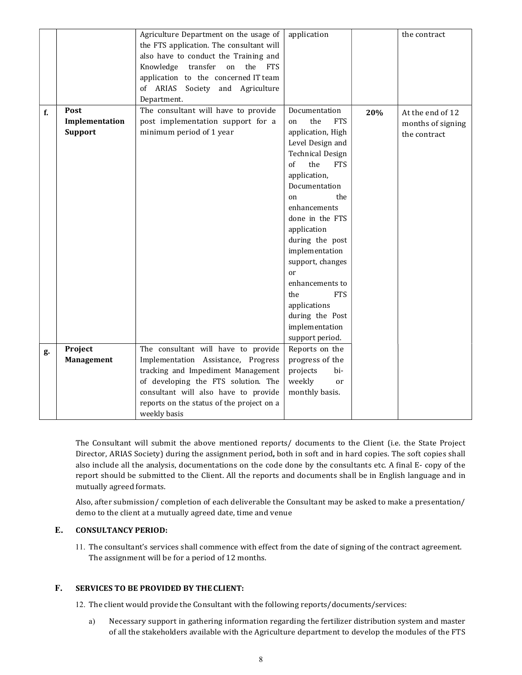|    |                | Agriculture Department on the usage of    | application             |     | the contract      |  |
|----|----------------|-------------------------------------------|-------------------------|-----|-------------------|--|
|    |                | the FTS application. The consultant will  |                         |     |                   |  |
|    |                | also have to conduct the Training and     |                         |     |                   |  |
|    |                | Knowledge transfer<br>on the<br>FTS       |                         |     |                   |  |
|    |                | application to the concerned IT team      |                         |     |                   |  |
|    |                | of ARIAS Society and Agriculture          |                         |     |                   |  |
|    |                | Department.                               |                         |     |                   |  |
| f. | Post           | The consultant will have to provide       | Documentation           | 20% | At the end of 12  |  |
|    | Implementation | post implementation support for a         | the<br><b>FTS</b><br>on |     | months of signing |  |
|    | Support        | minimum period of 1 year                  | application, High       |     | the contract      |  |
|    |                |                                           | Level Design and        |     |                   |  |
|    |                |                                           | <b>Technical Design</b> |     |                   |  |
|    |                |                                           | the<br><b>FTS</b><br>of |     |                   |  |
|    |                |                                           | application,            |     |                   |  |
|    |                |                                           | Documentation           |     |                   |  |
|    |                |                                           | the<br>on               |     |                   |  |
|    |                |                                           | enhancements            |     |                   |  |
|    |                |                                           | done in the FTS         |     |                   |  |
|    |                |                                           | application             |     |                   |  |
|    |                |                                           | during the post         |     |                   |  |
|    |                |                                           | implementation          |     |                   |  |
|    |                |                                           | support, changes        |     |                   |  |
|    |                |                                           | <sub>or</sub>           |     |                   |  |
|    |                |                                           | enhancements to         |     |                   |  |
|    |                |                                           | the<br><b>FTS</b>       |     |                   |  |
|    |                |                                           | applications            |     |                   |  |
|    |                |                                           | during the Post         |     |                   |  |
|    |                |                                           | implementation          |     |                   |  |
|    |                |                                           | support period.         |     |                   |  |
| g. | Project        | The consultant will have to provide       | Reports on the          |     |                   |  |
|    | Management     | Implementation Assistance, Progress       | progress of the         |     |                   |  |
|    |                | tracking and Impediment Management        | projects<br>bi-         |     |                   |  |
|    |                | of developing the FTS solution. The       | weekly<br><sub>or</sub> |     |                   |  |
|    |                | consultant will also have to provide      | monthly basis.          |     |                   |  |
|    |                | reports on the status of the project on a |                         |     |                   |  |
|    |                | weekly basis                              |                         |     |                   |  |

The Consultant will submit the above mentioned reports/ documents to the Client (i.e. the State Project Director, ARIAS Society) during the assignment period, both in soft and in hard copies. The soft copies shall also include all the analysis, documentations on the code done by the consultants etc. A final E- copy of the report should be submitted to the Client. All the reports and documents shall be in English language and in mutually agreed formats.

Also, after submission/ completion of each deliverable the Consultant may be asked to make a presentation/ demo to the client at a mutually agreed date, time and venue

# E. CONSULTANCY PERIOD:

11. The consultant's services shall commence with effect from the date of signing of the contract agreement. The assignment will be for a period of 12 months.

### F. SERVICES TO BE PROVIDED BY THE CLIENT:

12. The client would provide the Consultant with the following reports/documents/services:

a) Necessary support in gathering information regarding the fertilizer distribution system and master of all the stakeholders available with the Agriculture department to develop the modules of the FTS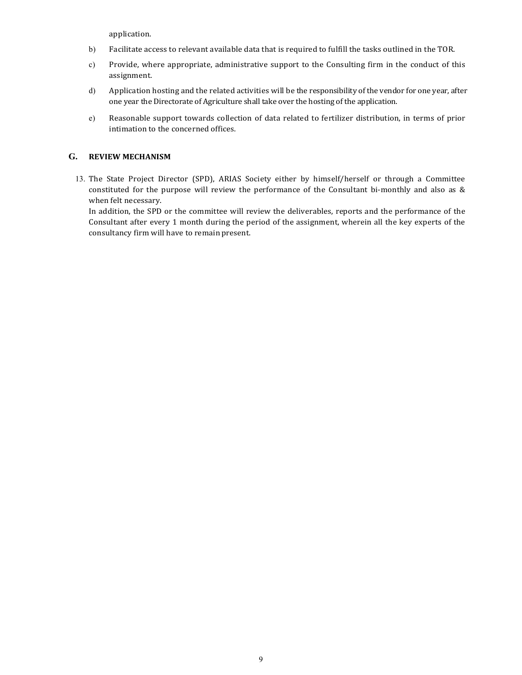application.

- b) Facilitate access to relevant available data that is required to fulfill the tasks outlined in the TOR.
- c) Provide, where appropriate, administrative support to the Consulting firm in the conduct of this assignment.
- d) Application hosting and the related activities will be the responsibility of the vendor for one year, after one year the Directorate of Agriculture shall take over the hosting of the application.
- e) Reasonable support towards collection of data related to fertilizer distribution, in terms of prior intimation to the concerned offices.

### G. REVIEW MECHANISM

13. The State Project Director (SPD), ARIAS Society either by himself/herself or through a Committee constituted for the purpose will review the performance of the Consultant bi-monthly and also as & when felt necessary.

In addition, the SPD or the committee will review the deliverables, reports and the performance of the Consultant after every 1 month during the period of the assignment, wherein all the key experts of the consultancy firm will have to remain present.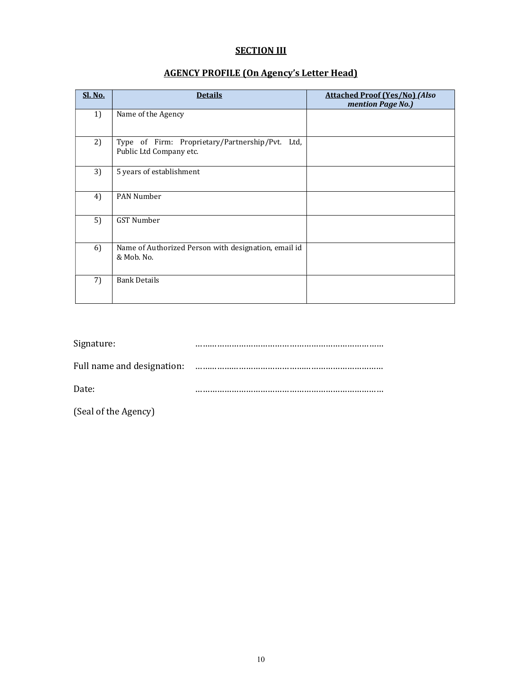# **SECTION III**

# AGENCY PROFILE (On Agency's Letter Head)

| <b>Sl. No.</b> | <b>Details</b>                                                             | <b>Attached Proof (Yes/No) (Also</b><br>mention Page No.) |
|----------------|----------------------------------------------------------------------------|-----------------------------------------------------------|
| 1)             | Name of the Agency                                                         |                                                           |
| 2)             | Type of Firm: Proprietary/Partnership/Pvt. Ltd,<br>Public Ltd Company etc. |                                                           |
| 3)             | 5 years of establishment                                                   |                                                           |
| 4)             | <b>PAN Number</b>                                                          |                                                           |
| 5)             | <b>GST Number</b>                                                          |                                                           |
| 6)             | Name of Authorized Person with designation, email id<br>& Mob. No.         |                                                           |
| 7)             | <b>Bank Details</b>                                                        |                                                           |

| Signature:                 |  |
|----------------------------|--|
| Full name and designation: |  |
| Date:                      |  |

(Seal of the Agency)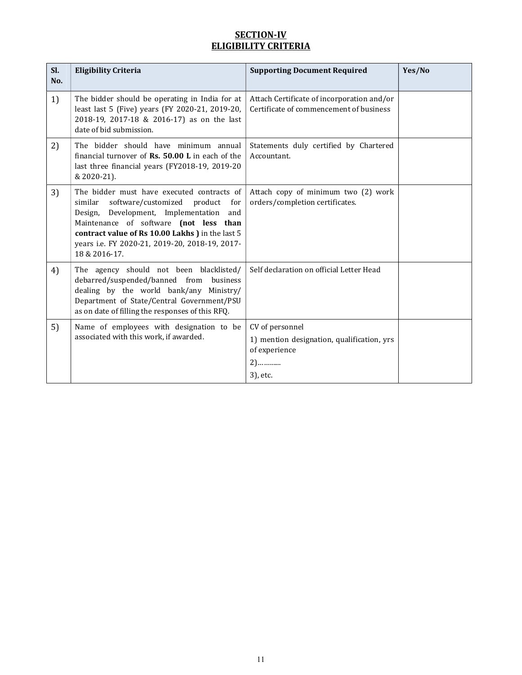# SECTION-IV ELIGIBILITY CRITERIA

| Sl.<br>No. | <b>Eligibility Criteria</b>                                                                                                                                                                                                                                                                                | <b>Supporting Document Required</b>                                                                | Yes/No |
|------------|------------------------------------------------------------------------------------------------------------------------------------------------------------------------------------------------------------------------------------------------------------------------------------------------------------|----------------------------------------------------------------------------------------------------|--------|
| 1)         | The bidder should be operating in India for at<br>least last 5 (Five) years (FY 2020-21, 2019-20,<br>2018-19, 2017-18 & 2016-17) as on the last<br>date of bid submission.                                                                                                                                 | Attach Certificate of incorporation and/or<br>Certificate of commencement of business              |        |
| 2)         | The bidder should have minimum annual<br>financial turnover of Rs. 50.00 L in each of the<br>last three financial years (FY2018-19, 2019-20<br>& 2020-21).                                                                                                                                                 | Statements duly certified by Chartered<br>Accountant.                                              |        |
| 3)         | The bidder must have executed contracts of<br>similar<br>software/customized product<br>for<br>Design, Development, Implementation<br>and<br>Maintenance of software (not less than<br>contract value of Rs 10.00 Lakhs ) in the last 5<br>years i.e. FY 2020-21, 2019-20, 2018-19, 2017-<br>18 & 2016-17. | Attach copy of minimum two (2) work<br>orders/completion certificates.                             |        |
| 4)         | The agency should not been blacklisted/<br>debarred/suspended/banned from business<br>dealing by the world bank/any Ministry/<br>Department of State/Central Government/PSU<br>as on date of filling the responses of this RFQ.                                                                            | Self declaration on official Letter Head                                                           |        |
| 5)         | Name of employees with designation to be<br>associated with this work, if awarded.                                                                                                                                                                                                                         | CV of personnel<br>1) mention designation, qualification, yrs<br>of experience<br>$2)$<br>3), etc. |        |